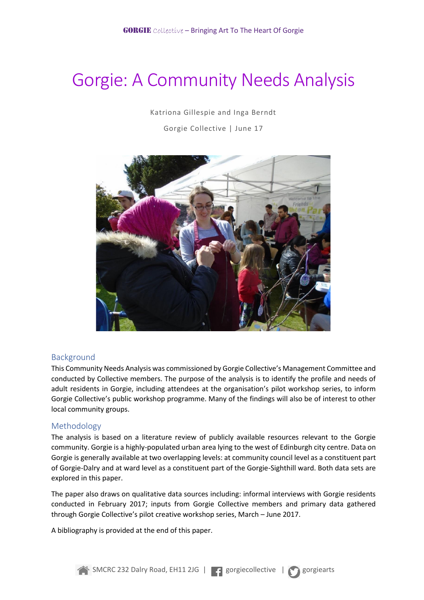# Gorgie: A Community Needs Analysis

Katriona Gillespie and Inga Berndt

Gorgie Collective | June 17



# Background

This Community Needs Analysis was commissioned by Gorgie Collective's Management Committee and conducted by Collective members. The purpose of the analysis is to identify the profile and needs of adult residents in Gorgie, including attendees at the organisation's pilot workshop series, to inform Gorgie Collective's public workshop programme. Many of the findings will also be of interest to other local community groups.

# Methodology

The analysis is based on a literature review of publicly available resources relevant to the Gorgie community. Gorgie is a highly-populated urban area lying to the west of Edinburgh city centre. Data on Gorgie is generally available at two overlapping levels: at community council level as a constituent part of Gorgie-Dalry and at ward level as a constituent part of the Gorgie-Sighthill ward. Both data sets are explored in this paper.

The paper also draws on qualitative data sources including: informal interviews with Gorgie residents conducted in February 2017; inputs from Gorgie Collective members and primary data gathered through Gorgie Collective's pilot creative workshop series, March – June 2017.

A bibliography is provided at the end of this paper.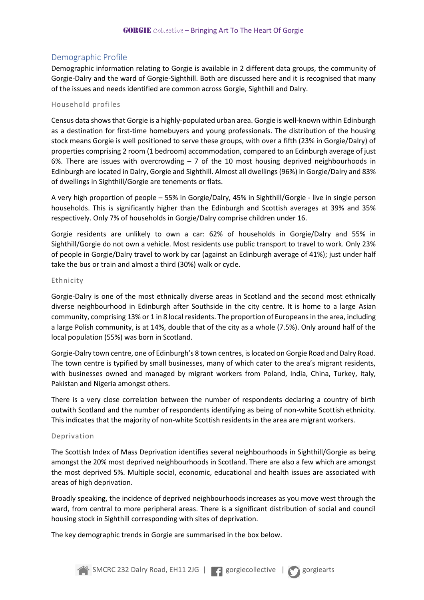# Demographic Profile

Demographic information relating to Gorgie is available in 2 different data groups, the community of Gorgie-Dalry and the ward of Gorgie-Sighthill. Both are discussed here and it is recognised that many of the issues and needs identified are common across Gorgie, Sighthill and Dalry.

#### Household profiles

Census data shows that Gorgie is a highly-populated urban area. Gorgie is well-known within Edinburgh as a destination for first-time homebuyers and young professionals. The distribution of the housing stock means Gorgie is well positioned to serve these groups, with over a fifth (23% in Gorgie/Dalry) of properties comprising 2 room (1 bedroom) accommodation, compared to an Edinburgh average of just 6%. There are issues with overcrowding – 7 of the 10 most housing deprived neighbourhoods in Edinburgh are located in Dalry, Gorgie and Sighthill. Almost all dwellings (96%) in Gorgie/Dalry and 83% of dwellings in Sighthill/Gorgie are tenements or flats.

A very high proportion of people – 55% in Gorgie/Dalry, 45% in Sighthill/Gorgie - live in single person households. This is significantly higher than the Edinburgh and Scottish averages at 39% and 35% respectively. Only 7% of households in Gorgie/Dalry comprise children under 16.

Gorgie residents are unlikely to own a car: 62% of households in Gorgie/Dalry and 55% in Sighthill/Gorgie do not own a vehicle. Most residents use public transport to travel to work. Only 23% of people in Gorgie/Dalry travel to work by car (against an Edinburgh average of 41%); just under half take the bus or train and almost a third (30%) walk or cycle.

#### Ethnicity

Gorgie-Dalry is one of the most ethnically diverse areas in Scotland and the second most ethnically diverse neighbourhood in Edinburgh after Southside in the city centre. It is home to a large Asian community, comprising 13% or 1 in 8 local residents. The proportion of Europeans in the area, including a large Polish community, is at 14%, double that of the city as a whole (7.5%). Only around half of the local population (55%) was born in Scotland.

Gorgie-Dalry town centre, one of Edinburgh's 8 town centres, is located on Gorgie Road and Dalry Road. The town centre is typified by small businesses, many of which cater to the area's migrant residents, with businesses owned and managed by migrant workers from Poland, India, China, Turkey, Italy, Pakistan and Nigeria amongst others.

There is a very close correlation between the number of respondents declaring a country of birth outwith Scotland and the number of respondents identifying as being of non-white Scottish ethnicity. This indicates that the majority of non-white Scottish residents in the area are migrant workers.

#### Deprivation

The Scottish Index of Mass Deprivation identifies several neighbourhoods in Sighthill/Gorgie as being amongst the 20% most deprived neighbourhoods in Scotland. There are also a few which are amongst the most deprived 5%. Multiple social, economic, educational and health issues are associated with areas of high deprivation.

Broadly speaking, the incidence of deprived neighbourhoods increases as you move west through the ward, from central to more peripheral areas. There is a significant distribution of social and council housing stock in Sighthill corresponding with sites of deprivation.

The key demographic trends in Gorgie are summarised in the box below.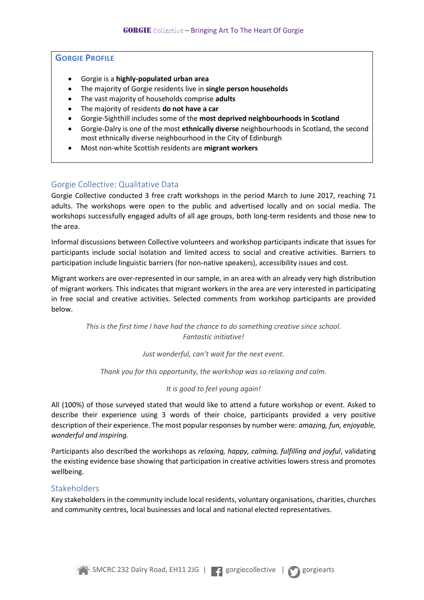# **GORGIE PROFILE**

- Gorgie is a **highly-populated urban area**
- The majority of Gorgie residents live in **single person households**
- The vast majority of households comprise **adults**
- The majority of residents **do not have a car**
- Gorgie-Sighthill includes some of the **most deprived neighbourhoods in Scotland**
- Gorgie-Dalry is one of the most **ethnically diverse** neighbourhoods in Scotland, the second most ethnically diverse neighbourhood in the City of Edinburgh
- Most non-white Scottish residents are **migrant workers**

# Gorgie Collective: Qualitative Data

Gorgie Collective conducted 3 free craft workshops in the period March to June 2017, reaching 71 adults. The workshops were open to the public and advertised locally and on social media. The workshops successfully engaged adults of all age groups, both long-term residents and those new to the area.

Informal discussions between Collective volunteers and workshop participants indicate that issues for participants include social isolation and limited access to social and creative activities. Barriers to participation include linguistic barriers (for non-native speakers), accessibility issues and cost.

Migrant workers are over-represented in our sample, in an area with an already very high distribution of migrant workers. This indicates that migrant workers in the area are very interested in participating in free social and creative activities. Selected comments from workshop participants are provided below.

> *This is the first time I have had the chance to do something creative since school. Fantastic initiative!*

> > *Just wonderful, can't wait for the next event.*

*Thank you for this opportunity, the workshop was so relaxing and calm.*

## *It is good to feel young again!*

All (100%) of those surveyed stated that would like to attend a future workshop or event. Asked to describe their experience using 3 words of their choice, participants provided a very positive description of their experience. The most popular responses by number were: *amazing, fun, enjoyable, wonderful and inspiring.* 

Participants also described the workshops as *relaxing, happy, calming, fulfilling and joyful*, validating the existing evidence base showing that participation in creative activities lowers stress and promotes wellbeing.

## **Stakeholders**

Key stakeholders in the community include local residents, voluntary organisations, charities, churches and community centres, local businesses and local and national elected representatives.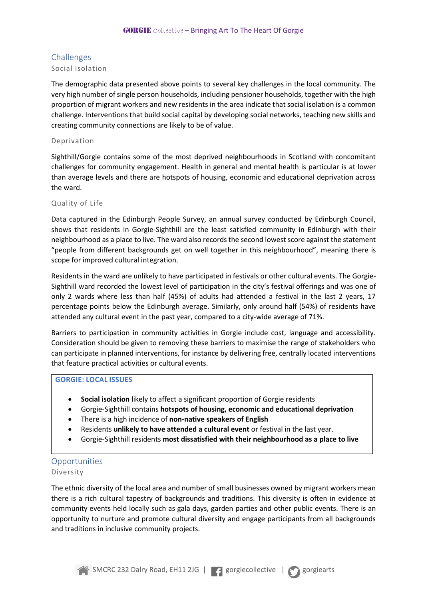# Challenges

# Social Isolation

The demographic data presented above points to several key challenges in the local community. The very high number of single person households, including pensioner households, together with the high proportion of migrant workers and new residents in the area indicate that social isolation is a common challenge. Interventions that build social capital by developing social networks, teaching new skills and creating community connections are likely to be of value.

### Deprivation

Sighthill/Gorgie contains some of the most deprived neighbourhoods in Scotland with concomitant challenges for community engagement. Health in general and mental health is particular is at lower than average levels and there are hotspots of housing, economic and educational deprivation across the ward.

## Quality of Life

Data captured in the Edinburgh People Survey, an annual survey conducted by Edinburgh Council, shows that residents in Gorgie-Sighthill are the least satisfied community in Edinburgh with their neighbourhood as a place to live. The ward also records the second lowest score against the statement "people from different backgrounds get on well together in this neighbourhood", meaning there is scope for improved cultural integration.

Residents in the ward are unlikely to have participated in festivals or other cultural events. The Gorgie-Sighthill ward recorded the lowest level of participation in the city's festival offerings and was one of only 2 wards where less than half (45%) of adults had attended a festival in the last 2 years, 17 percentage points below the Edinburgh average. Similarly, only around half (54%) of residents have attended any cultural event in the past year, compared to a city-wide average of 71%.

Barriers to participation in community activities in Gorgie include cost, language and accessibility. Consideration should be given to removing these barriers to maximise the range of stakeholders who can participate in planned interventions, for instance by delivering free, centrally located interventions that feature practical activities or cultural events.

# **GORGIE: LOCAL ISSUES**

- **Social isolation** likely to affect a significant proportion of Gorgie residents
- Gorgie-Sighthill contains **hotspots of housing, economic and educational deprivation**
- There is a high incidence of **non-native speakers of English**
- Residents **unlikely to have attended a cultural event** or festival in the last year.
- Gorgie-Sighthill residents **most dissatisfied with their neighbourhood as a place to live**

# Opportunities Diversity

The ethnic diversity of the local area and number of small businesses owned by migrant workers mean there is a rich cultural tapestry of backgrounds and traditions. This diversity is often in evidence at community events held locally such as gala days, garden parties and other public events. There is an opportunity to nurture and promote cultural diversity and engage participants from all backgrounds and traditions in inclusive community projects.

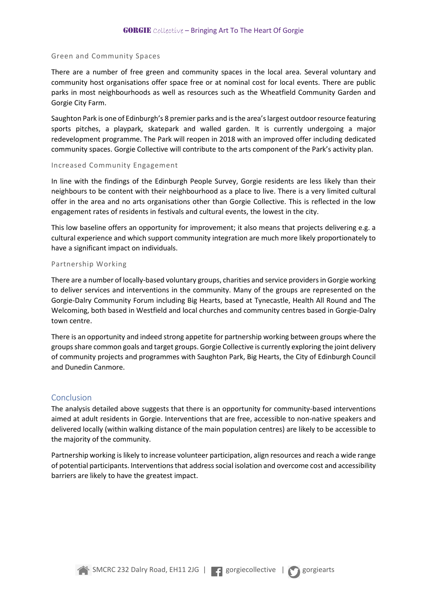#### Green and Community Spaces

There are a number of free green and community spaces in the local area. Several voluntary and community host organisations offer space free or at nominal cost for local events. There are public parks in most neighbourhoods as well as resources such as the Wheatfield Community Garden and Gorgie City Farm.

Saughton Park is one of Edinburgh's 8 premier parks and is the area's largest outdoor resource featuring sports pitches, a playpark, skatepark and walled garden. It is currently undergoing a major redevelopment programme. The Park will reopen in 2018 with an improved offer including dedicated community spaces. Gorgie Collective will contribute to the arts component of the Park's activity plan.

#### Increased Community Engagement

In line with the findings of the Edinburgh People Survey, Gorgie residents are less likely than their neighbours to be content with their neighbourhood as a place to live. There is a very limited cultural offer in the area and no arts organisations other than Gorgie Collective. This is reflected in the low engagement rates of residents in festivals and cultural events, the lowest in the city.

This low baseline offers an opportunity for improvement; it also means that projects delivering e.g. a cultural experience and which support community integration are much more likely proportionately to have a significant impact on individuals.

#### Partnership Working

There are a number of locally-based voluntary groups, charities and service providers in Gorgie working to deliver services and interventions in the community. Many of the groups are represented on the Gorgie-Dalry Community Forum including Big Hearts, based at Tynecastle, Health All Round and The Welcoming, both based in Westfield and local churches and community centres based in Gorgie-Dalry town centre.

There is an opportunity and indeed strong appetite for partnership working between groups where the groups share common goals and target groups. Gorgie Collective is currently exploring the joint delivery of community projects and programmes with Saughton Park, Big Hearts, the City of Edinburgh Council and Dunedin Canmore.

#### Conclusion

The analysis detailed above suggests that there is an opportunity for community-based interventions aimed at adult residents in Gorgie. Interventions that are free, accessible to non-native speakers and delivered locally (within walking distance of the main population centres) are likely to be accessible to the majority of the community.

Partnership working is likely to increase volunteer participation, align resources and reach a wide range of potential participants. Interventions that address social isolation and overcome cost and accessibility barriers are likely to have the greatest impact.